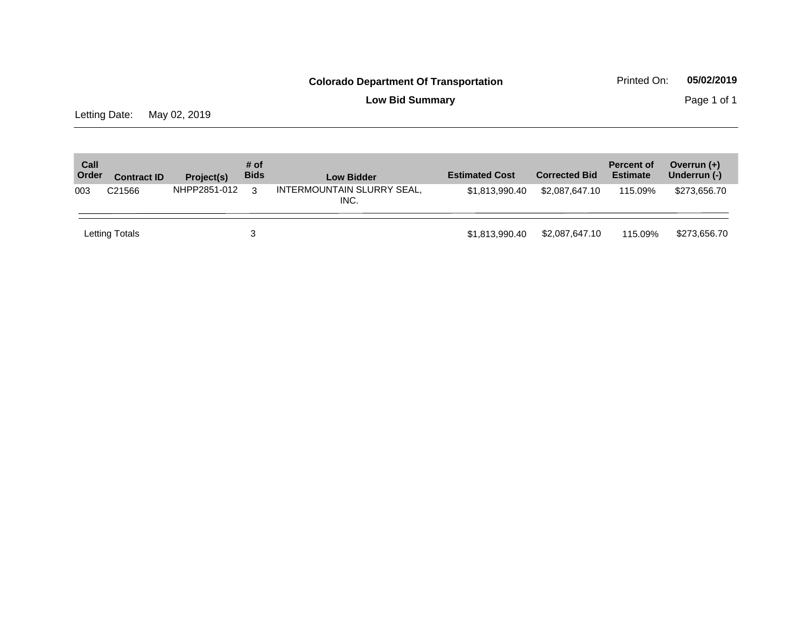**Low Bid Summary** Page 1 of 1

Letting Date: May 02, 2019

| Call<br>Order | <b>Contract ID</b> | Project(s)   | # of<br><b>Bids</b> | <b>Low Bidder</b>                  | <b>Estimated Cost</b> | <b>Corrected Bid</b> | <b>Percent of</b><br><b>Estimate</b> | Overrun $(+)$<br>Underrun (-) |
|---------------|--------------------|--------------|---------------------|------------------------------------|-----------------------|----------------------|--------------------------------------|-------------------------------|
| 003           | C <sub>21566</sub> | NHPP2851-012 | 3                   | INTERMOUNTAIN SLURRY SEAL,<br>INC. | \$1,813,990.40        | \$2,087,647,10       | 115.09%                              | \$273,656.70                  |
|               | Letting Totals     |              |                     |                                    | \$1,813,990.40        | \$2,087,647.10       | 115.09%                              | \$273,656,70                  |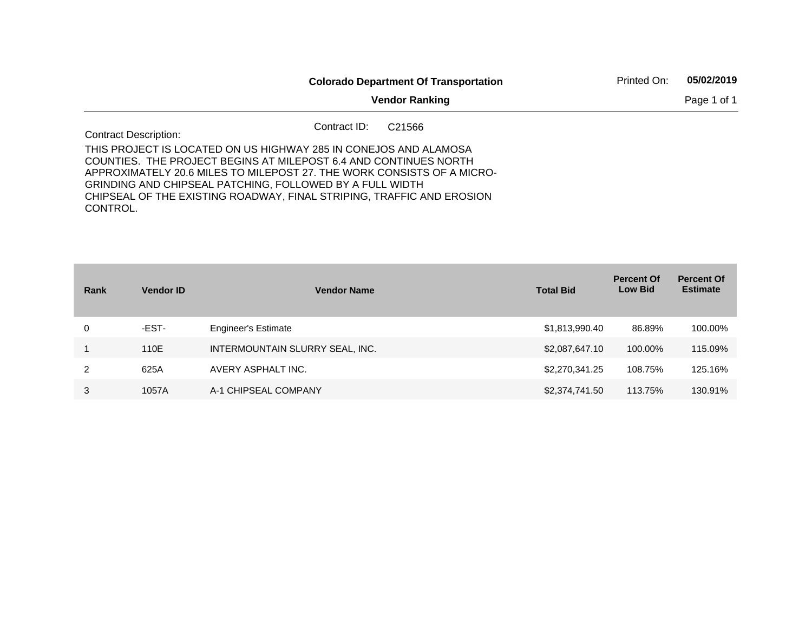|                                                                                                                                                                                                                                                                            |              | <b>Colorado Department Of Transportation</b> | Printed On: | 05/02/2019 |
|----------------------------------------------------------------------------------------------------------------------------------------------------------------------------------------------------------------------------------------------------------------------------|--------------|----------------------------------------------|-------------|------------|
|                                                                                                                                                                                                                                                                            |              | Page 1 of 1                                  |             |            |
| <b>Contract Description:</b>                                                                                                                                                                                                                                               | Contract ID: | C <sub>21566</sub>                           |             |            |
| THIS PROJECT IS LOCATED ON US HIGHWAY 285 IN CONEJOS AND ALAMOSA<br>COUNTIES. THE PROJECT BEGINS AT MILEPOST 6.4 AND CONTINUES NORTH<br>APPROXIMATELY 20.6 MILES TO MILEPOST 27. THE WORK CONSISTS OF A MICRO-<br>GRINDING AND CHIPSEAL PATCHING. FOLLOWED BY A FULL WIDTH |              |                                              |             |            |
| CHIPSEAL OF THE EXISTING ROADWAY, FINAL STRIPING, TRAFFIC AND EROSION<br>CONTROL.                                                                                                                                                                                          |              |                                              |             |            |

| Rank | <b>Vendor ID</b> | <b>Vendor Name</b>              | <b>Total Bid</b> | <b>Percent Of</b><br><b>Low Bid</b> | <b>Percent Of</b><br><b>Estimate</b> |
|------|------------------|---------------------------------|------------------|-------------------------------------|--------------------------------------|
| 0    | -EST-            | <b>Engineer's Estimate</b>      | \$1,813,990.40   | 86.89%                              | 100.00%                              |
|      | 110E             | INTERMOUNTAIN SLURRY SEAL, INC. | \$2,087,647.10   | 100.00%                             | 115.09%                              |
| 2    | 625A             | AVERY ASPHALT INC.              | \$2,270,341.25   | 108.75%                             | 125.16%                              |
| 3    | 1057A            | A-1 CHIPSEAL COMPANY            | \$2,374,741.50   | 113.75%                             | 130.91%                              |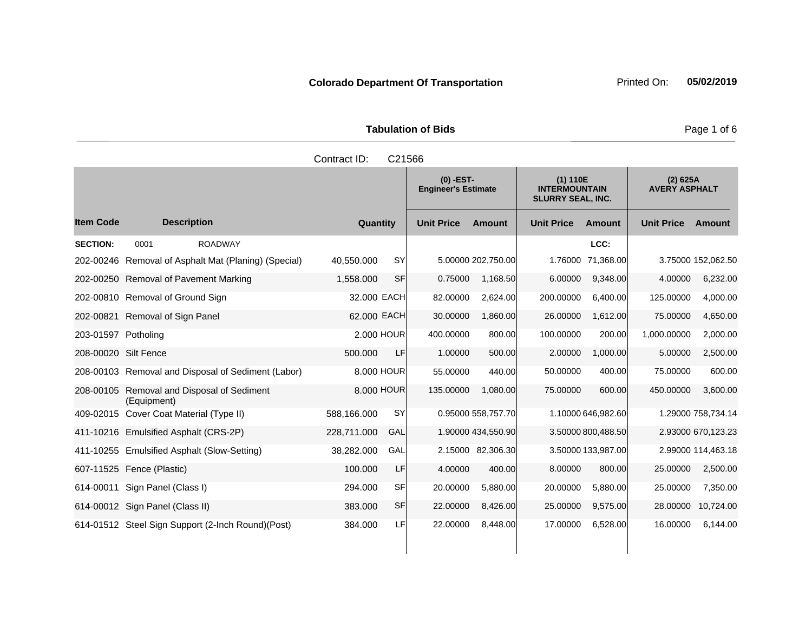|                     | <b>Tabulation of Bids</b> |
|---------------------|---------------------------|
| Contract ID: C21566 |                           |

|                      |                                                      |                          |                   | $(0)$ -EST-<br><b>Engineer's Estimate</b> |                   | (1) 110E<br><b>INTERMOUNTAIN</b><br><b>SLURRY SEAL, INC.</b> |                   | (2) 625A<br><b>AVERY ASPHALT</b> |
|----------------------|------------------------------------------------------|--------------------------|-------------------|-------------------------------------------|-------------------|--------------------------------------------------------------|-------------------|----------------------------------|
| <b>Item Code</b>     | <b>Description</b>                                   | Quantity                 | <b>Unit Price</b> | <b>Amount</b>                             | <b>Unit Price</b> | Amount                                                       | <b>Unit Price</b> | Amount                           |
| <b>SECTION:</b>      | 0001<br><b>ROADWAY</b>                               |                          |                   |                                           |                   | LCC:                                                         |                   |                                  |
|                      | 202-00246 Removal of Asphalt Mat (Planing) (Special) | <b>SY</b><br>40.550.000  |                   | 5.00000 202,750.00                        | 1.76000           | 71,368.00                                                    |                   | 3.75000 152,062.50               |
|                      | 202-00250 Removal of Pavement Marking                | <b>SF</b><br>1,558.000   | 0.75000           | 1.168.50                                  | 6.00000           | 9,348.00                                                     | 4.00000           | 6,232.00                         |
|                      | 202-00810 Removal of Ground Sign                     | 32.000 EACH              | 82.00000          | 2,624.00                                  | 200.00000         | 6,400.00                                                     | 125.00000         | 4,000.00                         |
| 202-00821            | Removal of Sign Panel                                | 62.000 EACH              | 30.00000          | 1,860.00                                  | 26.00000          | 1,612.00                                                     | 75.00000          | 4,650.00                         |
| 203-01597 Potholing  |                                                      | 2,000 HOUR               | 400.00000         | 800.00                                    | 100.00000         | 200.00                                                       | 1,000.00000       | 2,000.00                         |
| 208-00020 Silt Fence |                                                      | 500.000<br>LF.           | 1.00000           | 500.00                                    | 2.00000           | 1,000.00                                                     | 5.00000           | 2,500.00                         |
|                      | 208-00103 Removal and Disposal of Sediment (Labor)   | 8.000 HOUR               | 55.00000          | 440.00                                    | 50.00000          | 400.00                                                       | 75,00000          | 600.00                           |
| 208-00105            | Removal and Disposal of Sediment<br>(Equipment)      | 8,000 HOUR               | 135.00000         | 1.080.00                                  | 75.00000          | 600.00                                                       | 450.00000         | 3,600.00                         |
|                      | 409-02015 Cover Coat Material (Type II)              | 588.166.000<br><b>SY</b> |                   | 0.95000 558,757.70                        |                   | 1.10000 646,982.60                                           |                   | 1.29000 758,734.14               |
|                      | 411-10216 Emulsified Asphalt (CRS-2P)                | 228,711.000<br>GAL       |                   | 1.90000 434,550.90                        |                   | 3.50000 800,488.50                                           |                   | 2.93000 670,123.23               |
|                      | 411-10255 Emulsified Asphalt (Slow-Setting)          | 38,282.000<br>GAL        |                   | 2.15000 82,306.30                         |                   | 3.50000 133,987.00                                           |                   | 2.99000 114,463.18               |
|                      | 607-11525 Fence (Plastic)                            | 100.000<br>LF            | 4.00000           | 400.00                                    | 8.00000           | 800.00                                                       | 25.00000          | 2,500.00                         |
| 614-00011            | Sign Panel (Class I)                                 | SFI<br>294.000           | 20.00000          | 5,880.00                                  | 20.00000          | 5,880.00                                                     | 25.00000          | 7,350.00                         |
|                      | 614-00012 Sign Panel (Class II)                      | <b>SF</b><br>383,000     | 22.00000          | 8,426.00                                  | 25.00000          | 9,575.00                                                     |                   | 28.00000 10,724.00               |
|                      | 614-01512 Steel Sign Support (2-Inch Round) (Post)   | 384.000<br>LFI           | 22.00000          | 8,448.00                                  | 17.00000          | 6,528.00                                                     | 16.00000          | 6,144.00                         |

Page 1 of 6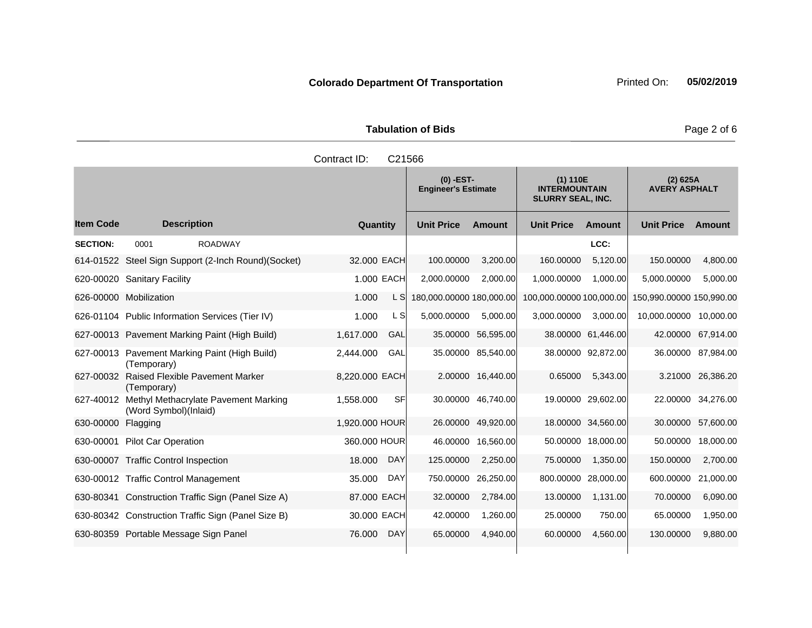|                    |                                                                         | Contract ID:   | C21566     |                                           |                    |                                                              |                    |                                  |                    |
|--------------------|-------------------------------------------------------------------------|----------------|------------|-------------------------------------------|--------------------|--------------------------------------------------------------|--------------------|----------------------------------|--------------------|
|                    |                                                                         |                |            | $(0)$ -EST-<br><b>Engineer's Estimate</b> |                    | (1) 110E<br><b>INTERMOUNTAIN</b><br><b>SLURRY SEAL, INC.</b> |                    | (2) 625A<br><b>AVERY ASPHALT</b> |                    |
| ltem Code          | <b>Description</b>                                                      | Quantity       |            | <b>Unit Price</b>                         | <b>Amount</b>      | <b>Unit Price</b>                                            | <b>Amount</b>      | <b>Unit Price</b>                | <b>Amount</b>      |
| <b>SECTION:</b>    | 0001<br><b>ROADWAY</b>                                                  |                |            |                                           |                    |                                                              | LCC:               |                                  |                    |
|                    | 614-01522 Steel Sign Support (2-Inch Round)(Socket)                     | 32.000 EACH    |            | 100.00000                                 | 3,200.00           | 160.00000                                                    | 5,120.00           | 150.00000                        | 4,800.00           |
|                    | 620-00020 Sanitary Facility                                             | 1.000 EACH     |            | 2,000.00000                               | 2,000.00           | 1,000.00000                                                  | 1,000.00           | 5,000.00000                      | 5,000.00           |
|                    | 626-00000 Mobilization                                                  | 1.000          | L SI       | 180,000.00000 180,000.00                  |                    | 100,000.00000 100,000.00                                     |                    | 150,990.00000 150,990.00         |                    |
|                    | 626-01104 Public Information Services (Tier IV)                         | 1.000          | L SI       | 5,000.00000                               | 5,000.00           | 3,000.00000                                                  | 3,000.00           | 10,000.00000 10,000.00           |                    |
|                    | 627-00013 Pavement Marking Paint (High Build)                           | 1,617.000      | GAL        |                                           | 35.00000 56,595.00 |                                                              | 38.00000 61,446.00 | 42.00000                         | 67,914.00          |
|                    | 627-00013 Pavement Marking Paint (High Build)<br>(Temporary)            | 2,444.000      | GAL        |                                           | 35.00000 85,540.00 |                                                              | 38.00000 92,872.00 |                                  | 36.00000 87,984.00 |
|                    | 627-00032 Raised Flexible Pavement Marker<br>(Temporary)                | 8.220.000 EACH |            |                                           | 2.00000 16,440.00  | 0.65000                                                      | 5,343.00           |                                  | 3.21000 26,386.20  |
|                    | 627-40012 Methyl Methacrylate Pavement Marking<br>(Word Symbol)(Inlaid) | 1,558.000      | SF         |                                           | 30.00000 46,740.00 |                                                              | 19.00000 29,602.00 |                                  | 22.00000 34,276.00 |
| 630-00000 Flagging |                                                                         | 1,920.000 HOUR |            |                                           | 26.00000 49,920.00 |                                                              | 18.00000 34,560.00 | 30.00000                         | 57,600.00          |
|                    | 630-00001 Pilot Car Operation                                           | 360.000 HOUR   |            |                                           | 46.00000 16,560.00 |                                                              | 50.00000 18,000.00 | 50.00000                         | 18,000.00          |
|                    | 630-00007 Traffic Control Inspection                                    | 18,000         | DAY        | 125.00000                                 | 2,250.00           | 75.00000                                                     | 1,350.00           | 150.00000                        | 2,700.00           |
|                    | 630-00012 Traffic Control Management                                    | 35.000         | DAY        | 750.00000 26,250.00                       |                    | 800.00000 28,000.00                                          |                    | 600.00000                        | 21,000.00          |
|                    | 630-80341 Construction Traffic Sign (Panel Size A)                      | 87,000 EACH    |            | 32.00000                                  | 2,784.00           | 13.00000                                                     | 1,131.00           | 70.00000                         | 6,090.00           |
|                    | 630-80342 Construction Traffic Sign (Panel Size B)                      | 30.000 EACH    |            | 42.00000                                  | 1,260.00           | 25.00000                                                     | 750.00             | 65.00000                         | 1,950.00           |
|                    | 630-80359 Portable Message Sign Panel                                   | 76.000         | <b>DAY</b> | 65.00000                                  | 4.940.00           | 60.00000                                                     | 4,560.00           | 130.00000                        | 9,880.00           |

# **Tabulation of Bids Page 2 of 6**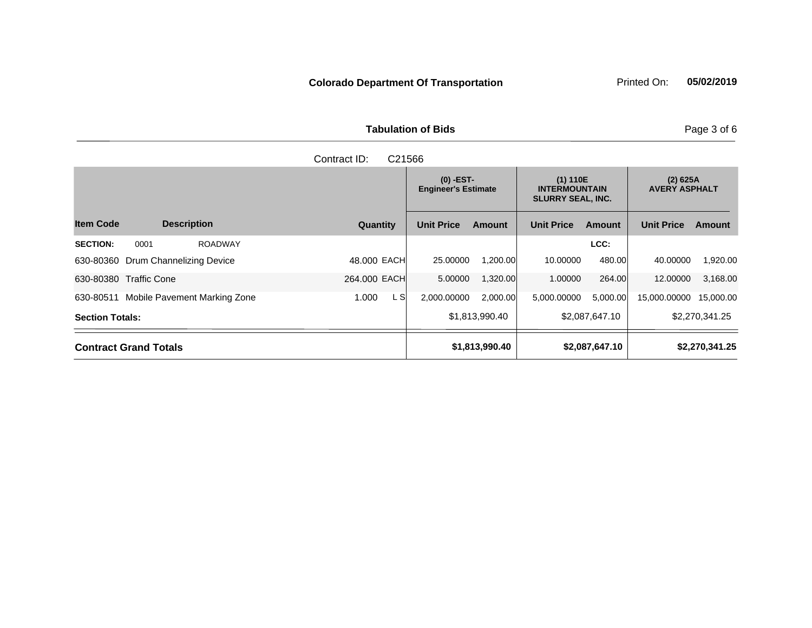**Tabulation of Bids Page 3 of 6** 

| C <sub>21566</sub><br>Contract ID:        |               |                                                                                                           |                |                                    |                |                   |                |
|-------------------------------------------|---------------|-----------------------------------------------------------------------------------------------------------|----------------|------------------------------------|----------------|-------------------|----------------|
|                                           |               | $(0)$ -EST-<br>(1) 110E<br><b>Engineer's Estimate</b><br><b>INTERMOUNTAIN</b><br><b>SLURRY SEAL, INC.</b> |                | $(2)$ 625A<br><b>AVERY ASPHALT</b> |                |                   |                |
| <b>Item Code</b><br><b>Description</b>    | Quantity      | <b>Unit Price</b>                                                                                         | <b>Amount</b>  | <b>Unit Price</b>                  | <b>Amount</b>  | <b>Unit Price</b> | <b>Amount</b>  |
| <b>SECTION:</b><br>0001<br><b>ROADWAY</b> |               |                                                                                                           |                |                                    | LCC:           |                   |                |
| Drum Channelizing Device<br>630-80360     | 48,000 EACH   | 25.00000                                                                                                  | 1.200.00       | 10.00000                           | 480.00         | 40.00000          | 1,920.00       |
| <b>Traffic Cone</b><br>630-80380          | 264.000 EACH  | 5.00000                                                                                                   | 1,320.00       | 1.00000                            | 264.00         | 12,00000          | 3,168.00       |
| Mobile Pavement Marking Zone<br>630-80511 | L SI<br>1.000 | 2,000.00000                                                                                               | 2,000.00       | 5,000.00000                        | 5,000.00       | 15,000.00000      | 15,000.00      |
| <b>Section Totals:</b>                    |               |                                                                                                           | \$1,813,990.40 |                                    | \$2,087,647.10 |                   | \$2,270,341.25 |
| <b>Contract Grand Totals</b>              |               |                                                                                                           | \$1,813,990.40 |                                    | \$2,087,647.10 |                   | \$2,270,341.25 |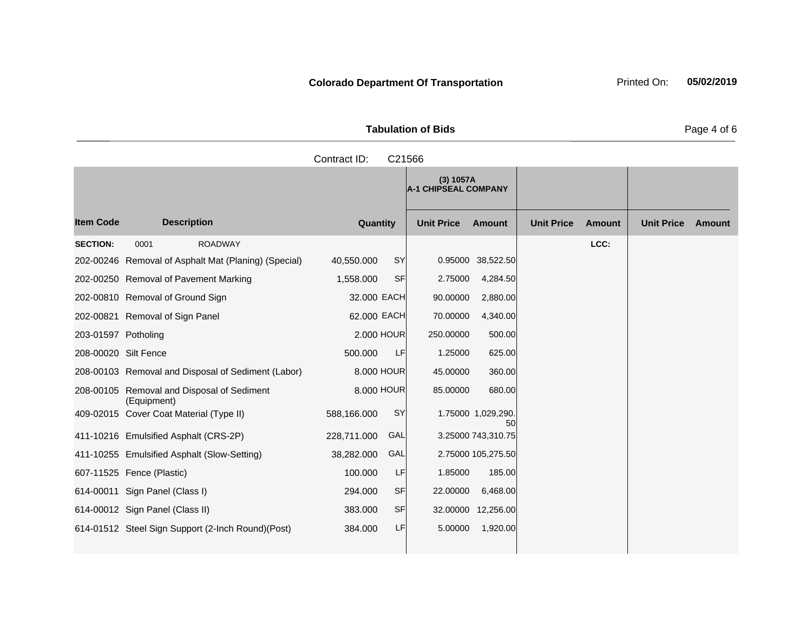| <b>Tabulation of Bids</b> |  |  |  |  |  |  |  |
|---------------------------|--|--|--|--|--|--|--|
| Contract ID: C21566       |  |  |  |  |  |  |  |

|                      |                                                      |             |           | (3) 1057A<br><b>A-1 CHIPSEAL COMPANY</b> |                          |                   |               |                   |               |
|----------------------|------------------------------------------------------|-------------|-----------|------------------------------------------|--------------------------|-------------------|---------------|-------------------|---------------|
| <b>Item Code</b>     | <b>Description</b>                                   | Quantity    |           | <b>Unit Price</b>                        | <b>Amount</b>            | <b>Unit Price</b> | <b>Amount</b> | <b>Unit Price</b> | <b>Amount</b> |
| <b>SECTION:</b>      | <b>ROADWAY</b><br>0001                               |             |           |                                          |                          |                   | LCC:          |                   |               |
|                      | 202-00246 Removal of Asphalt Mat (Planing) (Special) | 40,550.000  | SY        |                                          | 0.95000 38,522.50        |                   |               |                   |               |
|                      | 202-00250 Removal of Pavement Marking                | 1,558.000   | <b>SF</b> | 2.75000                                  | 4,284.50                 |                   |               |                   |               |
|                      | 202-00810 Removal of Ground Sign                     | 32.000 EACH |           | 90.00000                                 | 2,880.00                 |                   |               |                   |               |
|                      | 202-00821 Removal of Sign Panel                      | 62.000 EACH |           | 70.00000                                 | 4,340.00                 |                   |               |                   |               |
| 203-01597 Potholing  |                                                      | 2,000 HOUR  |           | 250,00000                                | 500.00                   |                   |               |                   |               |
| 208-00020 Silt Fence |                                                      | 500,000     | LF        | 1.25000                                  | 625.00                   |                   |               |                   |               |
|                      | 208-00103 Removal and Disposal of Sediment (Labor)   | 8.000 HOUR  |           | 45.00000                                 | 360.00                   |                   |               |                   |               |
| 208-00105            | Removal and Disposal of Sediment<br>(Equipment)      | 8,000 HOUR  |           | 85.00000                                 | 680.00                   |                   |               |                   |               |
|                      | 409-02015 Cover Coat Material (Type II)              | 588,166.000 | SY        |                                          | 1.75000 1,029,290.<br>50 |                   |               |                   |               |
|                      | 411-10216 Emulsified Asphalt (CRS-2P)                | 228,711.000 | GAL       |                                          | 3.25000 743,310.75       |                   |               |                   |               |
|                      | 411-10255 Emulsified Asphalt (Slow-Setting)          | 38,282.000  | GAL       |                                          | 2.75000 105,275.50       |                   |               |                   |               |
|                      | 607-11525 Fence (Plastic)                            | 100.000     | LF        | 1.85000                                  | 185.00                   |                   |               |                   |               |
|                      | 614-00011 Sign Panel (Class I)                       | 294.000     | <b>SF</b> | 22.00000                                 | 6,468.00                 |                   |               |                   |               |
|                      | 614-00012 Sign Panel (Class II)                      | 383.000     | <b>SF</b> |                                          | 32.00000 12,256.00       |                   |               |                   |               |
|                      | 614-01512 Steel Sign Support (2-Inch Round) (Post)   | 384.000     | LF        | 5.00000                                  | 1,920.00                 |                   |               |                   |               |

Page 4 of 6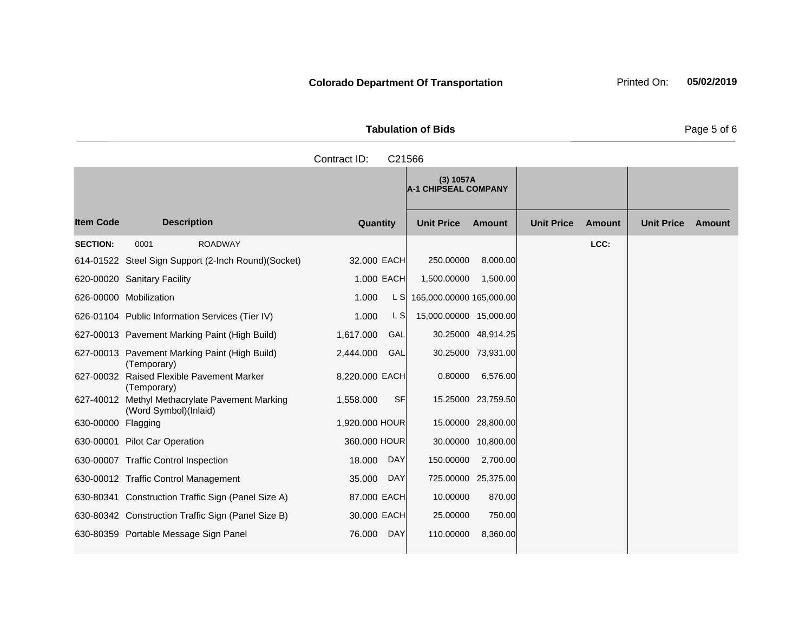| <b>Tabulation of Bids</b> | Page 5 of 6 |
|---------------------------|-------------|

**Quantity Unit Price Unit Price Item Code Amount Unit Price Amount Ext Ext Unit Price Amount Ext (3) 1057A A-1 CHIPSEAL COMPANY Description SECTION:** 0001 ROADWAY **LCC:** 614-01522 Steel Sign Support (2-Inch Round)(Socket) 32.000 EACH 250.00000 8,000.00 620-00020 Sanitary Facility 1.000 EACH 1,500.00000 1,500.00 626-00000 Mobilization 1.000 L S 165,000.00000 165,000.00 626-01104 Public Information Services (Tier IV) 1.000 L S 15,000.00000 15,000.00 627-00013 Pavement Marking Paint (High Build) 1,617.000 GAL 30.25000 48,914.25 627-00013 Pavement Marking Paint (High Build) (Temporary) 2,444.000 GAL 30.25000 73,931.00 627-00032 Raised Flexible Pavement Marker (Temporary) 8,220.000 EACH 0.80000 6,576.00 627-40012 Methyl Methacrylate Pavement Marking (Word Symbol)(Inlaid) 1,558.000 SF 15.25000 23,759.50 630-00000 Flagging 15.00000 and 1,920.000 HOUR 15.00000 28,800.00 630-00001 Pilot Car Operation 360.000 HOUR 30.00000 10,800.00 630-00007 Traffic Control Inspection 18.000 DAY 150.00000 2,700.00 630-00012 Traffic Control Management 35.000 DAY 725.00000 25,375.00 630-80341 Construction Traffic Sign (Panel Size A) 87.000 EACH 10.00000 870.00 630-80342 Construction Traffic Sign (Panel Size B) 30.000 EACH 25.00000 750.00 630-80359 Portable Message Sign Panel 76.000 DAY 110.00000 8,360.00 Contract ID: C21566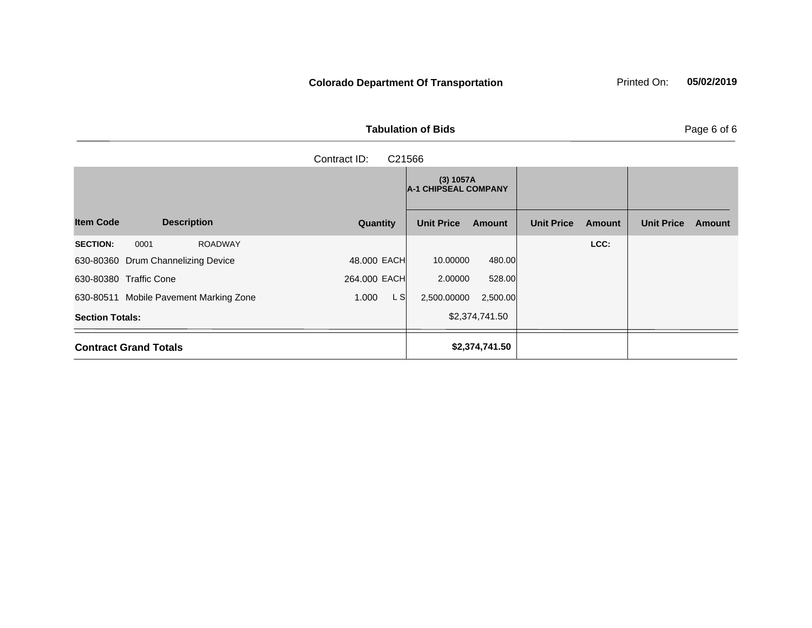|  | <b>Tabulation of Bids</b> |  |  |
|--|---------------------------|--|--|
|  | Contract ID: C21566       |  |  |

|                                           |               | (3) 1057A<br><b>A-1 CHIPSEAL COMPANY</b> |                |                   |               |                   |        |
|-------------------------------------------|---------------|------------------------------------------|----------------|-------------------|---------------|-------------------|--------|
| <b>Item Code</b><br><b>Description</b>    | Quantity      | <b>Unit Price</b>                        | Amount         | <b>Unit Price</b> | <b>Amount</b> | <b>Unit Price</b> | Amount |
| 0001<br><b>SECTION:</b><br><b>ROADWAY</b> |               |                                          |                |                   | LCC:          |                   |        |
| 630-80360 Drum Channelizing Device        | 48,000 EACH   | 10.00000                                 | 480.00         |                   |               |                   |        |
| 630-80380 Traffic Cone                    | 264.000 EACH  | 2.00000                                  | 528.00         |                   |               |                   |        |
| 630-80511 Mobile Pavement Marking Zone    | L SI<br>1.000 | 2,500.00000                              | 2,500.00       |                   |               |                   |        |
| <b>Section Totals:</b>                    |               |                                          | \$2,374,741.50 |                   |               |                   |        |
| <b>Contract Grand Totals</b>              |               |                                          | \$2,374,741.50 |                   |               |                   |        |

Page 6 of 6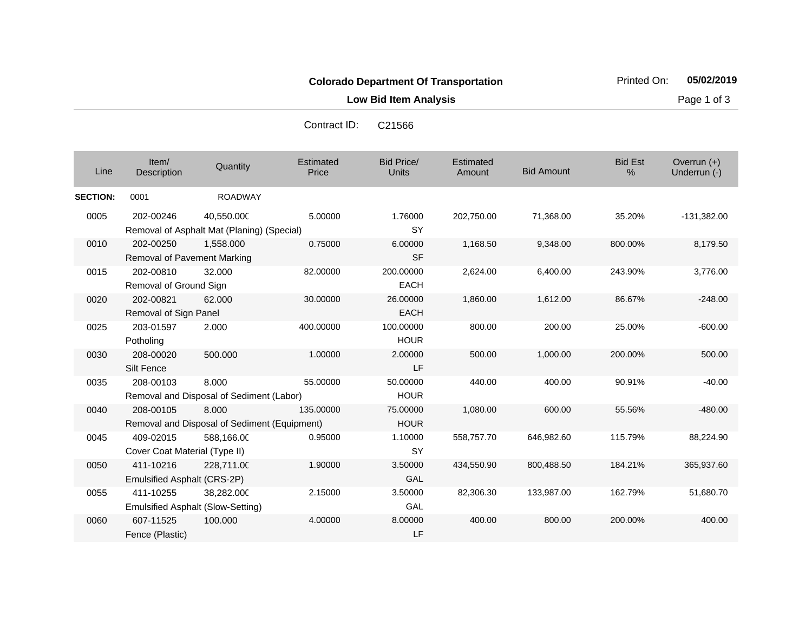**Low Bid Item Analysis Page 1 of 3** 

Contract ID: C21566

| Line            | Item/<br>Description                                                            | Quantity                                                 | Estimated<br>Price | Bid Price/<br><b>Units</b> | <b>Estimated</b><br>Amount | <b>Bid Amount</b> | <b>Bid Est</b><br>% | Overrun $(+)$<br>Underrun (-) |
|-----------------|---------------------------------------------------------------------------------|----------------------------------------------------------|--------------------|----------------------------|----------------------------|-------------------|---------------------|-------------------------------|
| <b>SECTION:</b> | 0001                                                                            | <b>ROADWAY</b>                                           |                    |                            |                            |                   |                     |                               |
| 0005            | 202-00246                                                                       | 40,550.000<br>Removal of Asphalt Mat (Planing) (Special) | 5.00000            | 1.76000<br>SY              | 202,750.00                 | 71,368.00         | 35.20%              | $-131,382.00$                 |
| 0010            | 202-00250<br>Removal of Pavement Marking                                        | 1,558.000                                                | 0.75000            | 6.00000<br><b>SF</b>       | 1,168.50                   | 9,348.00          | 800.00%             | 8,179.50                      |
| 0015            | 202-00810<br>Removal of Ground Sign                                             | 32.000                                                   | 82.00000           | 200.00000<br><b>EACH</b>   | 2,624.00                   | 6,400.00          | 243.90%             | 3,776.00                      |
| 0020            | 202-00821<br>Removal of Sign Panel                                              | 62.000                                                   | 30.00000           | 26.00000<br><b>EACH</b>    | 1,860.00                   | 1,612.00          | 86.67%              | $-248.00$                     |
| 0025            | 203-01597<br>Potholing                                                          | 2.000                                                    | 400.00000          | 100.00000<br><b>HOUR</b>   | 800.00                     | 200.00            | 25.00%              | $-600.00$                     |
| 0030            | 208-00020<br>Silt Fence                                                         | 500.000                                                  | 1.00000            | 2.00000<br>LF              | 500.00                     | 1,000.00          | 200.00%             | 500.00                        |
| 0035            | 208-00103                                                                       | 8.000<br>Removal and Disposal of Sediment (Labor)        | 55.00000           | 50.00000<br><b>HOUR</b>    | 440.00                     | 400.00            | 90.91%              | $-40.00$                      |
| 0040            | 208-00105<br>8.000<br>135.00000<br>Removal and Disposal of Sediment (Equipment) |                                                          |                    | 75.00000<br><b>HOUR</b>    | 1,080.00                   | 600.00            | 55.56%              | $-480.00$                     |
| 0045            | 409-02015<br>Cover Coat Material (Type II)                                      | 588,166.00                                               | 0.95000            | 1.10000<br><b>SY</b>       | 558,757.70                 | 646,982.60        | 115.79%             | 88,224.90                     |
| 0050            | 411-10216<br>Emulsified Asphalt (CRS-2P)                                        | 228,711.00                                               | 1.90000            | 3.50000<br><b>GAL</b>      | 434,550.90                 | 800,488.50        | 184.21%             | 365,937.60                    |
| 0055            | 411-10255                                                                       | 38.282.000<br>Emulsified Asphalt (Slow-Setting)          | 2.15000            | 3.50000<br>GAL             | 82,306.30                  | 133,987.00        | 162.79%             | 51,680.70                     |
| 0060            | 607-11525<br>Fence (Plastic)                                                    | 100.000                                                  | 4.00000            | 8.00000<br>LF              | 400.00                     | 800.00            | 200.00%             | 400.00                        |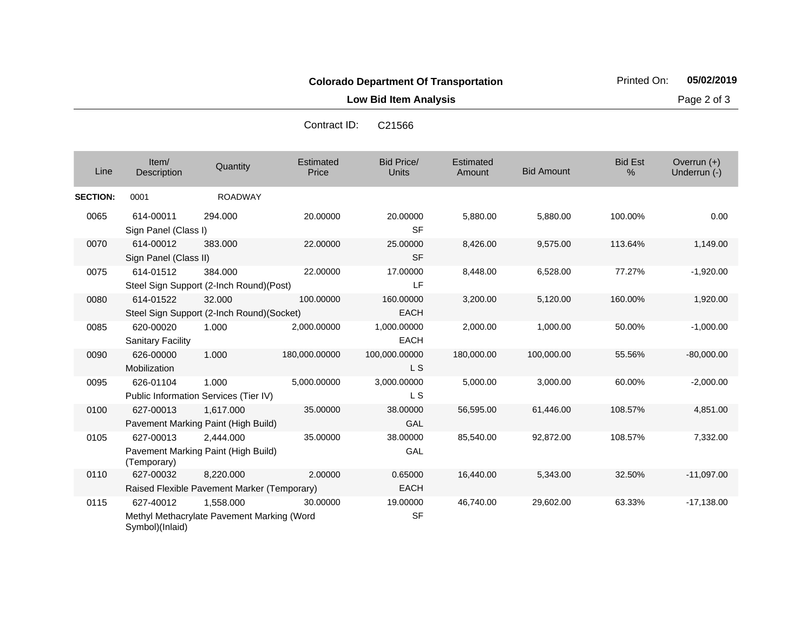**Low Bid Item Analysis Page 2 of 3** 

| Line            | Item/<br>Description                  | Quantity                                                 | Estimated<br>Price | <b>Bid Price/</b><br><b>Units</b> | Estimated<br>Amount | <b>Bid Amount</b> | <b>Bid Est</b><br>% | Overrun $(+)$<br>Underrun (-) |
|-----------------|---------------------------------------|----------------------------------------------------------|--------------------|-----------------------------------|---------------------|-------------------|---------------------|-------------------------------|
| <b>SECTION:</b> | 0001                                  | <b>ROADWAY</b>                                           |                    |                                   |                     |                   |                     |                               |
| 0065            | 614-00011<br>Sign Panel (Class I)     | 294.000                                                  | 20.00000           | 20.00000<br><b>SF</b>             | 5,880.00            | 5,880.00          | 100.00%             | 0.00                          |
| 0070            | 614-00012<br>Sign Panel (Class II)    | 383.000                                                  | 22.00000           | 25.00000<br><b>SF</b>             | 8,426.00            | 9,575.00          | 113.64%             | 1,149.00                      |
| 0075            | 614-01512                             | 384.000<br>Steel Sign Support (2-Inch Round)(Post)       | 22.00000           | 17.00000<br>LF                    | 8,448.00            | 6,528.00          | 77.27%              | $-1,920.00$                   |
| 0080            | 614-01522                             | 32.000<br>Steel Sign Support (2-Inch Round)(Socket)      | 100.00000          | 160.00000<br><b>EACH</b>          | 3,200.00            | 5,120.00          | 160.00%             | 1,920.00                      |
| 0085            | 620-00020<br><b>Sanitary Facility</b> | 1.000                                                    | 2,000.00000        | 1,000.00000<br><b>EACH</b>        | 2,000.00            | 1,000.00          | 50.00%              | $-1,000.00$                   |
| 0090            | 626-00000<br>Mobilization             | 1.000                                                    | 180,000.00000      | 100,000.00000<br>L S              | 180,000.00          | 100,000.00        | 55.56%              | $-80,000.00$                  |
| 0095            | 626-01104                             | 1.000<br>Public Information Services (Tier IV)           | 5,000.00000        | 3,000.00000<br>L <sub>S</sub>     | 5,000.00            | 3,000.00          | 60.00%              | $-2,000.00$                   |
| 0100            | 627-00013                             | 1,617.000<br>Pavement Marking Paint (High Build)         | 35.00000           | 38.00000<br>GAL                   | 56,595.00           | 61,446.00         | 108.57%             | 4,851.00                      |
| 0105            | 627-00013<br>(Temporary)              | 2,444.000<br>Pavement Marking Paint (High Build)         | 35.00000           | 38.00000<br>GAL                   | 85,540.00           | 92,872.00         | 108.57%             | 7,332.00                      |
| 0110            | 627-00032                             | 8,220.000<br>Raised Flexible Pavement Marker (Temporary) | 2.00000            | 0.65000<br><b>EACH</b>            | 16,440.00           | 5,343.00          | 32.50%              | $-11,097.00$                  |
| 0115            | 627-40012<br>Symbol)(Inlaid)          | 1,558.000<br>Methyl Methacrylate Pavement Marking (Word  | 30.00000           | 19.00000<br><b>SF</b>             | 46,740.00           | 29,602.00         | 63.33%              | $-17,138.00$                  |

Contract ID: C21566